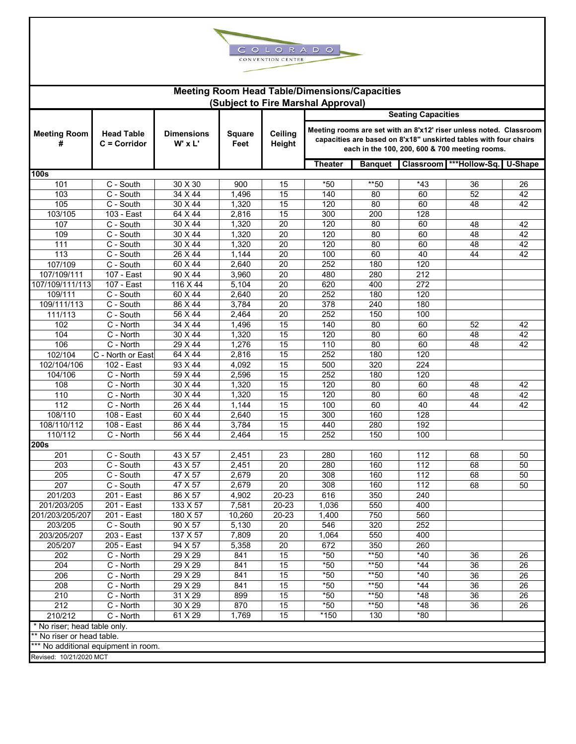

| <b>Meeting Room Head Table/Dimensions/Capacities</b> |                                      |                                  |                       |                       |                           |                |                                                                                                                                                                                          |                       |    |  |  |  |  |
|------------------------------------------------------|--------------------------------------|----------------------------------|-----------------------|-----------------------|---------------------------|----------------|------------------------------------------------------------------------------------------------------------------------------------------------------------------------------------------|-----------------------|----|--|--|--|--|
|                                                      | (Subject to Fire Marshal Approval)   |                                  |                       |                       |                           |                |                                                                                                                                                                                          |                       |    |  |  |  |  |
|                                                      |                                      |                                  |                       |                       | <b>Seating Capacities</b> |                |                                                                                                                                                                                          |                       |    |  |  |  |  |
| <b>Meeting Room</b><br>#                             | <b>Head Table</b><br>$C = Corridor$  | <b>Dimensions</b><br>$W'$ x $L'$ | <b>Square</b><br>Feet | Ceiling<br>Height     |                           |                | Meeting rooms are set with an 8'x12' riser unless noted. Classroom<br>capacities are based on 8'x18" unskirted tables with four chairs<br>each in the 100, 200, 600 & 700 meeting rooms. |                       |    |  |  |  |  |
|                                                      |                                      |                                  |                       |                       | <b>Theater</b>            | <b>Banquet</b> | Classroom                                                                                                                                                                                | ***Hollow-Sq. U-Shape |    |  |  |  |  |
| 100s                                                 |                                      |                                  |                       |                       |                           |                |                                                                                                                                                                                          |                       |    |  |  |  |  |
| 101                                                  | C - South                            | 30 X 30                          | 900                   | 15                    | $*50$                     | **50           | $*43$                                                                                                                                                                                    | 36                    | 26 |  |  |  |  |
| 103                                                  | C - South                            | $34 \times 44$                   | 1,496                 | 15                    | 140                       | 80             | 60                                                                                                                                                                                       | 52                    | 42 |  |  |  |  |
| 105                                                  | C - South                            | 30 X 44                          | 1,320                 | 15                    | 120                       | 80             | 60                                                                                                                                                                                       | 48                    | 42 |  |  |  |  |
| 103/105                                              | 103 - East                           | 64 X 44                          | 2,816                 | 15                    | 300                       | 200            | 128                                                                                                                                                                                      |                       |    |  |  |  |  |
| 107                                                  | C - South                            | 30 X 44                          | 1,320                 | 20                    | 120                       | 80             | 60                                                                                                                                                                                       | 48                    | 42 |  |  |  |  |
| 109                                                  | C - South                            | 30 X 44                          | 1,320                 | $\overline{20}$       | 120                       | 80             | 60                                                                                                                                                                                       | 48                    | 42 |  |  |  |  |
| 111                                                  | C - South                            | 30 X 44                          | 1,320                 | 20                    | 120                       | 80             | 60                                                                                                                                                                                       | 48                    | 42 |  |  |  |  |
| 113                                                  | C - South                            | 26 X 44                          | 1,144                 | $\overline{20}$       | 100                       | 60             | 40                                                                                                                                                                                       | 44                    | 42 |  |  |  |  |
| 107/109                                              | C - South                            | 60 X 44                          | 2,640                 | 20<br>$\overline{20}$ | 252                       | 180<br>280     | 120                                                                                                                                                                                      |                       |    |  |  |  |  |
| 107/109/111                                          | 107 - East                           | 90 X 44                          | 3,960                 |                       | 480                       |                | 212                                                                                                                                                                                      |                       |    |  |  |  |  |
| 107/109/111/113<br>109/111                           | 107 - East                           | 116 X 44                         | 5,104                 | 20<br>$\overline{20}$ | 620<br>252                | 400            | 272<br>120                                                                                                                                                                               |                       |    |  |  |  |  |
|                                                      | C - South<br>C - South               | 60 X 44<br>86 X 44               | 2,640                 | 20                    | 378                       | 180            | 180                                                                                                                                                                                      |                       |    |  |  |  |  |
| 109/111/113<br>111/113                               | C - South                            | 56 X 44                          | 3,784<br>2,464        | 20                    | 252                       | 240<br>150     | 100                                                                                                                                                                                      |                       |    |  |  |  |  |
| 102                                                  | C - North                            | 34 X 44                          |                       | 15                    | 140                       | 80             | 60                                                                                                                                                                                       | 52                    | 42 |  |  |  |  |
| 104                                                  | C - North                            | 30 X 44                          | 1,496<br>1,320        | 15                    | 120                       | 80             | 60                                                                                                                                                                                       | 48                    | 42 |  |  |  |  |
| 106                                                  | C - North                            | 29 X 44                          | 1,276                 | 15                    | 110                       | 80             | 60                                                                                                                                                                                       | 48                    | 42 |  |  |  |  |
| 102/104                                              | C - North or East                    | 64 X 44                          | 2,816                 | 15                    | 252                       | 180            | 120                                                                                                                                                                                      |                       |    |  |  |  |  |
| 102/104/106                                          | 102 - East                           | 93 X 44                          |                       | 15                    | 500                       | 320            | 224                                                                                                                                                                                      |                       |    |  |  |  |  |
| 104/106                                              | C - North                            | 59 X 44                          | 4,092<br>2,596        | 15                    | 252                       | 180            | 120                                                                                                                                                                                      |                       |    |  |  |  |  |
| 108                                                  | C - North                            | $30 \times 44$                   | 1,320                 | 15                    | 120                       | 80             | 60                                                                                                                                                                                       | 48                    | 42 |  |  |  |  |
| 110                                                  | C - North                            | $30 \times 44$                   | 1,320                 | 15                    | 120                       | 80             | 60                                                                                                                                                                                       | 48                    | 42 |  |  |  |  |
| 112                                                  | C - North                            | 26 X 44                          | 1,144                 | 15                    | 100                       | 60             | 40                                                                                                                                                                                       | 44                    | 42 |  |  |  |  |
| 108/110                                              | 108 - East                           | 60 X 44                          | 2,640                 | 15                    | 300                       | 160            | 128                                                                                                                                                                                      |                       |    |  |  |  |  |
| 108/110/112                                          | 108 - East                           | 86 X 44                          | 3,784                 | 15                    | 440                       | 280            | 192                                                                                                                                                                                      |                       |    |  |  |  |  |
| 110/112                                              | C - North                            | 56 X 44                          | 2,464                 | $\overline{15}$       | 252                       | 150            | 100                                                                                                                                                                                      |                       |    |  |  |  |  |
| <b>200s</b>                                          |                                      |                                  |                       |                       |                           |                |                                                                                                                                                                                          |                       |    |  |  |  |  |
| 201                                                  | C - South                            | 43 X 57                          | 2,451                 | 23                    | 280                       | 160            | 112                                                                                                                                                                                      | 68                    | 50 |  |  |  |  |
| 203                                                  | C - South                            | 43 X 57                          | 2,451                 | $\overline{20}$       | 280                       | 160            | 112                                                                                                                                                                                      | 68                    | 50 |  |  |  |  |
| 205                                                  | C - South                            | 47 X 57                          | 2,679                 | 20                    | 308                       | 160            | 112                                                                                                                                                                                      | 68                    | 50 |  |  |  |  |
| 207                                                  | C - South                            | 47 X 57                          | 2,679                 | 20                    | 308                       | 160            | $\frac{11}{2}$                                                                                                                                                                           | 68                    | 50 |  |  |  |  |
| 201/203                                              | 201 - East                           | 86 X 57                          | 4,902                 | 20-23                 | 616                       | 350            | 240                                                                                                                                                                                      |                       |    |  |  |  |  |
| 201/203/205                                          | 201 - East                           | 133 X 57                         | 7,581                 | 20-23                 | 1,036                     | 550            | 400                                                                                                                                                                                      |                       |    |  |  |  |  |
| 201/203/205/207                                      | 201 - East                           | 180 X 57                         | 10,260                | 20-23                 | 1,400                     | 750            | 560                                                                                                                                                                                      |                       |    |  |  |  |  |
| 203/205                                              | C - South                            | 90 X 57                          | 5,130                 | 20                    | 546                       | 320            | 252                                                                                                                                                                                      |                       |    |  |  |  |  |
| 203/205/207                                          | 203 - East                           | 137 X 57                         | 7.809                 | 20                    | 1,064                     | 550            | 400                                                                                                                                                                                      |                       |    |  |  |  |  |
| 205/207                                              | 205 - East                           | 94 X 57                          | 5,358                 | 20                    | 672                       | 350            | 260                                                                                                                                                                                      |                       |    |  |  |  |  |
| 202                                                  | C - North                            | 29 X 29                          | 841                   | 15                    | $*50$                     | $*$ 50         | $*40$                                                                                                                                                                                    | 36                    | 26 |  |  |  |  |
| 204                                                  | C - North                            | 29 X 29                          | 841                   | 15                    | $*50$                     | $*$ 50         | $*44$                                                                                                                                                                                    | 36                    | 26 |  |  |  |  |
| 206                                                  | C - North                            | 29 X 29                          | 841                   | 15                    | $*50$                     | $*$ 50         | $*40$                                                                                                                                                                                    | 36                    | 26 |  |  |  |  |
| 208                                                  | C - North                            | 29 X 29                          | 841                   | 15                    | $*50$                     | $*$ 50         | $*44$                                                                                                                                                                                    | 36                    | 26 |  |  |  |  |
| 210                                                  | C - North                            | 31 X 29                          | 899                   | 15                    | $*50$                     | **50           | $*48$                                                                                                                                                                                    | 36                    | 26 |  |  |  |  |
| 212                                                  | C - North                            | 30 X 29                          | 870                   | 15                    | $*50$                     | $*50$          | $*48$                                                                                                                                                                                    | 36                    | 26 |  |  |  |  |
| 210/212                                              | C - North                            | 61 X 29                          | 1,769                 | 15                    | *150                      | 130            | $*80$                                                                                                                                                                                    |                       |    |  |  |  |  |
| * No riser; head table only.                         |                                      |                                  |                       |                       |                           |                |                                                                                                                                                                                          |                       |    |  |  |  |  |
| ** No riser or head table.                           |                                      |                                  |                       |                       |                           |                |                                                                                                                                                                                          |                       |    |  |  |  |  |
|                                                      | *** No additional equipment in room. |                                  |                       |                       |                           |                |                                                                                                                                                                                          |                       |    |  |  |  |  |
| Revised: 10/21/2020 MCT                              |                                      |                                  |                       |                       |                           |                |                                                                                                                                                                                          |                       |    |  |  |  |  |
|                                                      |                                      |                                  |                       |                       |                           |                |                                                                                                                                                                                          |                       |    |  |  |  |  |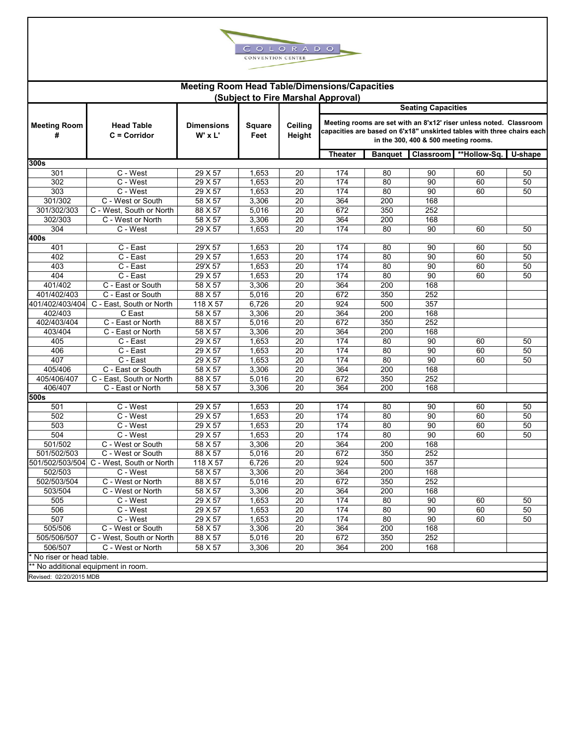

|                          |                                                                                                                   | <b>Meeting Room Head Table/Dimensions/Capacities</b> |                |                                                                                                                                                                                      |                                    |     |           |              |         |  |
|--------------------------|-------------------------------------------------------------------------------------------------------------------|------------------------------------------------------|----------------|--------------------------------------------------------------------------------------------------------------------------------------------------------------------------------------|------------------------------------|-----|-----------|--------------|---------|--|
|                          |                                                                                                                   |                                                      |                |                                                                                                                                                                                      | (Subject to Fire Marshal Approval) |     |           |              |         |  |
|                          |                                                                                                                   |                                                      |                |                                                                                                                                                                                      | <b>Seating Capacities</b>          |     |           |              |         |  |
| <b>Meeting Room</b><br># | <b>Head Table</b><br><b>Dimensions</b><br><b>Square</b><br>Ceiling<br>W' x L'<br>$C = Corridor$<br>Feet<br>Height |                                                      | <b>Banquet</b> | Meeting rooms are set with an 8'x12' riser unless noted. Classroom<br>capacities are based on 6'x18" unskirted tables with three chairs each<br>in the 300, 400 & 500 meeting rooms. |                                    |     |           |              |         |  |
| 300s                     |                                                                                                                   |                                                      |                |                                                                                                                                                                                      | <b>Theater</b>                     |     | Classroom | **Hollow-Sq. | U-shape |  |
| 301                      | $\overline{C}$ - West                                                                                             | 29 X 57                                              | 1,653          | 20                                                                                                                                                                                   | 174                                | 80  | 90        | 60           | 50      |  |
| 302                      | C - West                                                                                                          | 29 X 57                                              | 1,653          | 20                                                                                                                                                                                   | 174                                | 80  | 90        | 60           | 50      |  |
| 303                      | C - West                                                                                                          | 29 X 57                                              | 1,653          | 20                                                                                                                                                                                   | 174                                | 80  | 90        | 60           | 50      |  |
| 301/302                  | C - West or South                                                                                                 | 58 X 57                                              | 3,306          | 20                                                                                                                                                                                   | 364                                | 200 | 168       |              |         |  |
| 301/302/303              | C - West, South or North                                                                                          | 88 X 57                                              | 5,016          | 20                                                                                                                                                                                   | 672                                | 350 | 252       |              |         |  |
| 302/303                  | C - West or North                                                                                                 | 58 X 57                                              | 3,306          | 20                                                                                                                                                                                   | 364                                | 200 | 168       |              |         |  |
| 304                      | C - West                                                                                                          | 29 X 57                                              | 1,653          | 20                                                                                                                                                                                   | 174                                | 80  | 90        | 60           | 50      |  |
| 400s                     |                                                                                                                   |                                                      |                |                                                                                                                                                                                      |                                    |     |           |              |         |  |
| 401                      | C - East                                                                                                          | 29'X 57                                              | 1,653          | 20                                                                                                                                                                                   | 174                                | 80  | 90        | 60           | 50      |  |
| 402                      | C - East                                                                                                          | 29 X 57                                              | 1,653          | 20                                                                                                                                                                                   | 174                                | 80  | 90        | 60           | 50      |  |
| 403                      | C - East                                                                                                          | 29'X 57                                              | 1,653          | 20                                                                                                                                                                                   | 174                                | 80  | 90        | 60           | 50      |  |
| 404                      | C - East                                                                                                          | 29 X 57                                              | 1,653          | 20                                                                                                                                                                                   | 174                                | 80  | 90        | 60           | 50      |  |
| 401/402                  | C - East or South                                                                                                 | 58 X 57                                              | 3,306          | 20                                                                                                                                                                                   | 364                                | 200 | 168       |              |         |  |
| 401/402/403              | C - East or South                                                                                                 | 88 X 57                                              | 5,016          | 20                                                                                                                                                                                   | 672                                | 350 | 252       |              |         |  |
| 401/402/403/404          | C - East, South or North                                                                                          | 118 X 57                                             | 6,726          | 20                                                                                                                                                                                   | 924                                | 500 | 357       |              |         |  |
| 402/403                  | C East                                                                                                            | 58 X 57                                              | 3,306          | 20                                                                                                                                                                                   | 364                                | 200 | 168       |              |         |  |
| 402/403/404              | C - East or North                                                                                                 | 88 X 57                                              | 5,016          | 20                                                                                                                                                                                   | 672                                | 350 | 252       |              |         |  |
| 403/404                  | C - East or North                                                                                                 | 58 X 57                                              | 3,306          | 20                                                                                                                                                                                   | 364                                | 200 | 168       |              |         |  |
| 405                      | C - East                                                                                                          | 29 X 57                                              | 1,653          | 20                                                                                                                                                                                   | 174                                | 80  | 90        | 60           | 50      |  |
| 406                      | C - East                                                                                                          | 29 X 57                                              | 1,653          | 20                                                                                                                                                                                   | 174                                | 80  | 90        | 60           | 50      |  |
| 407                      | C - East                                                                                                          | 29 X 57                                              | 1,653          | 20                                                                                                                                                                                   | 174                                | 80  | 90        | 60           | 50      |  |
| 405/406                  | C - East or South                                                                                                 | 58 X 57                                              | 3,306          | $\overline{20}$                                                                                                                                                                      | 364                                | 200 | 168       |              |         |  |
| 405/406/407              | C - East, South or North                                                                                          | 88 X 57                                              | 5,016          | 20                                                                                                                                                                                   | 672                                | 350 | 252       |              |         |  |
| 406/407                  | C - East or North                                                                                                 | 58 X 57                                              | 3,306          | 20                                                                                                                                                                                   | 364                                | 200 | 168       |              |         |  |
| 500s                     |                                                                                                                   |                                                      |                |                                                                                                                                                                                      |                                    |     |           |              |         |  |
| 501                      | C - West                                                                                                          | 29 X 57                                              | 1,653          | 20                                                                                                                                                                                   | 174                                | 80  | 90        | 60           | 50      |  |
| 502                      | C - West                                                                                                          | 29 X 57                                              | 1,653          | 20                                                                                                                                                                                   | 174                                | 80  | 90        | 60           | 50      |  |
| 503                      | C - West                                                                                                          | 29 X 57                                              | 1,653          | $\overline{20}$                                                                                                                                                                      | 174                                | 80  | 90        | 60           | 50      |  |
| 504                      | C - West                                                                                                          | 29 X 57                                              | 1,653          | 20                                                                                                                                                                                   | 174                                | 80  | 90        | 60           | 50      |  |
| 501/502                  | C - West or South                                                                                                 | 58 X 57                                              | 3,306          | $\overline{20}$                                                                                                                                                                      | 364                                | 200 | 168       |              |         |  |
| 501/502/503              | C - West or South                                                                                                 | 88 X 57                                              | 5,016          | 20                                                                                                                                                                                   | 672                                | 350 | 252       |              |         |  |
| 501/502/503/504          | C - West, South or North                                                                                          | 118 X 57                                             | 6,726          | 20                                                                                                                                                                                   | 924                                | 500 | 357       |              |         |  |
| 502/503                  | C - West                                                                                                          | 58 X 57                                              | 3,306          | 20                                                                                                                                                                                   | 364                                | 200 | 168       |              |         |  |
| 502/503/504              | C - West or North                                                                                                 | 88 X 57                                              | 5,016          | 20                                                                                                                                                                                   | 672                                | 350 | 252       |              |         |  |
| 503/504                  | C - West or North                                                                                                 | 58 X 57                                              | 3,306          | 20                                                                                                                                                                                   | 364                                | 200 | 168       |              |         |  |
| 505                      | C - West                                                                                                          | 29 X 57                                              | 1,653          | 20                                                                                                                                                                                   | 174                                | 80  | 90        | 60           | 50      |  |
| 506                      | C - West                                                                                                          | 29 X 57                                              | 1,653          | 20                                                                                                                                                                                   | 174                                | 80  | 90        | 60           | 50      |  |
| 507                      | C - West                                                                                                          | 29 X 57                                              | 1,653          | 20                                                                                                                                                                                   | 174                                | 80  | 90        | 60           | 50      |  |
| 505/506                  | C - West or South                                                                                                 | 58 X 57                                              | 3,306          | 20                                                                                                                                                                                   | 364                                | 200 | 168       |              |         |  |
| 505/506/507              | C - West, South or North                                                                                          | 88 X 57                                              | 5,016          | 20                                                                                                                                                                                   | 672                                | 350 | 252       |              |         |  |
| 506/507                  | C - West or North                                                                                                 | 58 X 57                                              | 3,306          | 20                                                                                                                                                                                   | 364                                | 200 | 168       |              |         |  |
| No riser or head table.  |                                                                                                                   |                                                      |                |                                                                                                                                                                                      |                                    |     |           |              |         |  |
|                          | * No additional equipment in room.                                                                                |                                                      |                |                                                                                                                                                                                      |                                    |     |           |              |         |  |
| Revised: 02/20/2015 MDB  |                                                                                                                   |                                                      |                |                                                                                                                                                                                      |                                    |     |           |              |         |  |
|                          |                                                                                                                   |                                                      |                |                                                                                                                                                                                      |                                    |     |           |              |         |  |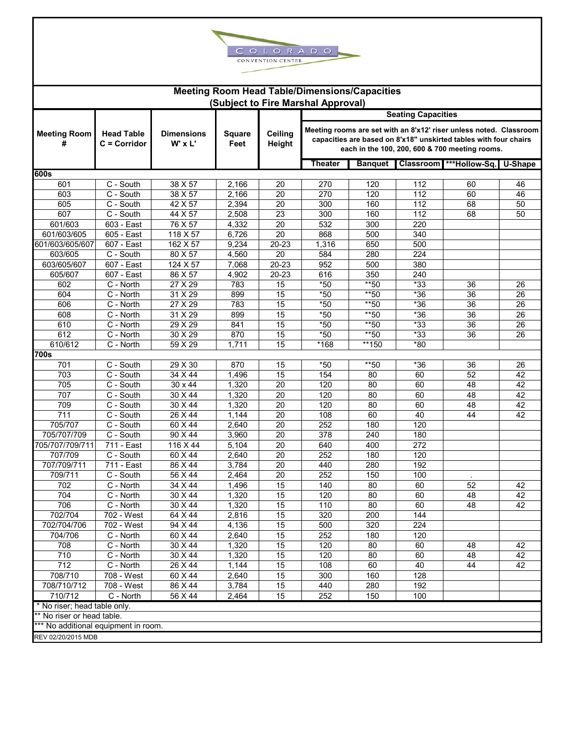

| <b>Meeting Room Head Table/Dimensions/Capacities</b> |                                     |                                  |                       |                          |                                    |                       |            |                                                                                                                                                                                          |          |  |  |
|------------------------------------------------------|-------------------------------------|----------------------------------|-----------------------|--------------------------|------------------------------------|-----------------------|------------|------------------------------------------------------------------------------------------------------------------------------------------------------------------------------------------|----------|--|--|
|                                                      |                                     |                                  |                       |                          | (Subject to Fire Marshal Approval) |                       |            |                                                                                                                                                                                          |          |  |  |
|                                                      |                                     |                                  |                       |                          | <b>Seating Capacities</b>          |                       |            |                                                                                                                                                                                          |          |  |  |
| <b>Meeting Room</b><br>#                             | <b>Head Table</b><br>C = Corridor   | <b>Dimensions</b><br>$W'$ x $L'$ | <b>Square</b><br>Feet | <b>Ceiling</b><br>Height |                                    |                       |            | Meeting rooms are set with an 8'x12' riser unless noted. Classroom<br>capacities are based on 8'x18" unskirted tables with four chairs<br>each in the 100, 200, 600 & 700 meeting rooms. |          |  |  |
|                                                      |                                     |                                  |                       |                          | Theater                            | <b>Banquet</b>        | Classroom  | ***Hollow-Sq.                                                                                                                                                                            | U-Shape  |  |  |
| 600s                                                 |                                     |                                  |                       |                          |                                    |                       |            |                                                                                                                                                                                          |          |  |  |
| 601                                                  | C - South                           | 38 X 57                          | 2,166                 | 20                       | 270                                | 120                   | 112        | 60                                                                                                                                                                                       | 46       |  |  |
| 603                                                  | C - South                           | 38 X 57                          | 2,166                 | 20                       | 270                                | 120                   | 112        | 60                                                                                                                                                                                       | 46       |  |  |
| 605                                                  | C - South                           | 42 X 57                          | 2,394                 | 20                       | 300                                | 160                   | 112        | 68                                                                                                                                                                                       | 50       |  |  |
| 607                                                  | C - South                           | 44 X 57                          | 2,508                 | 23                       | 300                                | 160                   | 112        | 68                                                                                                                                                                                       | 50       |  |  |
| 601/603                                              | 603 - East                          | 76 X 57                          | 4,332                 | 20                       | 532                                | 300                   | 220        |                                                                                                                                                                                          |          |  |  |
| 601/603/605                                          | 605 - East                          | 118 X 57                         | 6,726                 | 20                       | 868                                | 500                   | 340        |                                                                                                                                                                                          |          |  |  |
| 601/603/605/607                                      | 607 - East                          | 162 X 57                         | 9,234                 | 20-23                    | 1,316                              | 650                   | 500        |                                                                                                                                                                                          |          |  |  |
| 603/605                                              | C - South                           | 80 X 57                          | 4,560                 | 20                       | 584                                | 280                   | 224        |                                                                                                                                                                                          |          |  |  |
| 603/605/607                                          | 607 - East                          | 124 X 57                         | 7,068                 | 20-23                    | 952                                | 500                   | 380        |                                                                                                                                                                                          |          |  |  |
| 605/607                                              | 607 - East                          | 86 X 57                          | 4,902                 | 20-23                    | 616                                | 350                   | 240        |                                                                                                                                                                                          |          |  |  |
| 602                                                  | C - North                           | 27 X 29                          | 783                   | 15                       | $*50$                              | **50                  | $*33$      | 36                                                                                                                                                                                       | 26       |  |  |
| 604                                                  | C - North                           | 31 X 29                          | 899                   | 15                       | $*50$                              | $*$ 50                | $*36$      | $\overline{36}$                                                                                                                                                                          | 26       |  |  |
| 606                                                  | C - North                           | 27 X 29                          | 783                   | 15                       | $*50$                              | $*$ 50                | $*36$      | 36                                                                                                                                                                                       | 26       |  |  |
| 608                                                  | C - North                           | 31 X 29                          | 899                   | 15                       | $*50$                              | **50                  | $*36$      | 36                                                                                                                                                                                       | 26       |  |  |
| 610                                                  | C - North                           | 29 X 29                          | 841                   | 15                       | $*50$                              | $*$ 50                | $*33$      | 36                                                                                                                                                                                       | 26       |  |  |
| 612                                                  | C - North                           | 30 X 29                          | 870                   | 15                       | $*50$                              | $*$ 50                | $*33$      | 36                                                                                                                                                                                       | 26       |  |  |
| 610/612<br>700s                                      | $\overline{C}$ - North              | 59 X 29                          | 1.711                 | 15                       | *168                               | $\overline{11}$ 50    | $*80$      |                                                                                                                                                                                          |          |  |  |
|                                                      |                                     |                                  |                       |                          |                                    |                       |            |                                                                                                                                                                                          |          |  |  |
| 701                                                  | C - South                           | 29 X 30                          | 870                   | 15                       | $*50$                              | $*$ 50                | $*36$      | 36                                                                                                                                                                                       | 26       |  |  |
| 703                                                  | C - South                           | 34 X 44                          | 1,496                 | 15                       | 154                                | 80                    | 60         | 52                                                                                                                                                                                       | 42       |  |  |
| 705<br>707                                           | C - South<br>C - South              | 30 x 44<br>30 X 44               | 1,320<br>1,320        | 20<br>$\overline{20}$    | 120<br>120                         | 80<br>$\overline{80}$ | 60<br>60   | 48<br>48                                                                                                                                                                                 | 42<br>42 |  |  |
|                                                      |                                     |                                  |                       |                          |                                    |                       |            |                                                                                                                                                                                          |          |  |  |
| 709<br>711                                           | C - South                           | 30 X 44                          | 1,320                 | 20                       | 120                                | 80<br>60              | 60<br>40   | 48                                                                                                                                                                                       | 42       |  |  |
|                                                      | C - South<br>$\overline{C}$ - South | 26 X 44                          | 1,144                 | 20                       | 108                                |                       |            | 44                                                                                                                                                                                       | 42       |  |  |
| 705/707<br>705/707/709                               | $\overline{C}$ - South              | 60 X 44<br>90 X 44               | 2,640<br>3,960        | 20<br>20                 | 252<br>378                         | 180<br>240            | 120<br>180 |                                                                                                                                                                                          |          |  |  |
| 705/707/709/711                                      | 711 - East                          | 116 X 44                         | 5,104                 | 20                       | 640                                | 400                   | 272        |                                                                                                                                                                                          |          |  |  |
| 707/709                                              | $\overline{C}$ - South              | 60 X 44                          | 2,640                 | 20                       | 252                                | 180                   | 120        |                                                                                                                                                                                          |          |  |  |
| 707/709/711                                          | 711 - East                          | 86 X 44                          | 3,784                 | 20                       | 440                                | 280                   | 192        |                                                                                                                                                                                          |          |  |  |
| 709/711                                              | C - South                           | 56 X 44                          | 2,464                 | 20                       | 252                                | 150                   | 100        |                                                                                                                                                                                          |          |  |  |
| 702                                                  | C - North                           | 34 X 44                          | 1,496                 | 15                       | 140                                | 80                    | 60         | 52                                                                                                                                                                                       | 42       |  |  |
| 704                                                  | C - North                           | 30 X 44                          | 1,320                 | 15                       | 120                                | 80                    | 60         | 48                                                                                                                                                                                       | 42       |  |  |
| 706                                                  | C - North                           | 30 X 44                          | 1,320                 | 15                       | 110                                | 80                    | 60         | 48                                                                                                                                                                                       | 42       |  |  |
| 702/704                                              | 702 - West                          | 64 X 44                          | 2,816                 | 15                       | 320                                | 200                   | 144        |                                                                                                                                                                                          |          |  |  |
| 702/704/706                                          | 702 - West                          | 94 X 44                          | 4,136                 | 15                       | 500                                | 320                   | 224        |                                                                                                                                                                                          |          |  |  |
| 704/706                                              | C - North                           | 60 X 44                          | 2,640                 | 15                       | 252                                | 180                   | 120        |                                                                                                                                                                                          |          |  |  |
| 708                                                  | C - North                           | 30 X 44                          | 1,320                 | 15                       | 120                                | 80                    | 60         | 48                                                                                                                                                                                       | 42       |  |  |
| 710                                                  | C - North                           | 30 X 44                          | 1,320                 | 15                       | 120                                | 80                    | 60         | 48                                                                                                                                                                                       | 42       |  |  |
| $\overline{712}$                                     | C - North                           | 26 X 44                          | 1,144                 | 15                       | 108                                | 60                    | 40         | 44                                                                                                                                                                                       | 42       |  |  |
| 708/710                                              | 708 - West                          | 60 X 44                          | 2,640                 | 15                       | 300                                | 160                   | 128        |                                                                                                                                                                                          |          |  |  |
| 708/710/712                                          | 708 - West                          | 86 X 44                          | 3,784                 | 15                       | 440                                | 280                   | 192        |                                                                                                                                                                                          |          |  |  |
| 710/712                                              | C - North                           | 56 X 44                          | 2,464                 | 15                       | 252                                | 150                   | 100        |                                                                                                                                                                                          |          |  |  |
| * No riser; head table only.                         |                                     |                                  |                       |                          |                                    |                       |            |                                                                                                                                                                                          |          |  |  |
| ** No riser or head table.                           |                                     |                                  |                       |                          |                                    |                       |            |                                                                                                                                                                                          |          |  |  |
| *** No additional equipment in room.                 |                                     |                                  |                       |                          |                                    |                       |            |                                                                                                                                                                                          |          |  |  |
| REV 02/20/2015 MDB                                   |                                     |                                  |                       |                          |                                    |                       |            |                                                                                                                                                                                          |          |  |  |
|                                                      |                                     |                                  |                       |                          |                                    |                       |            |                                                                                                                                                                                          |          |  |  |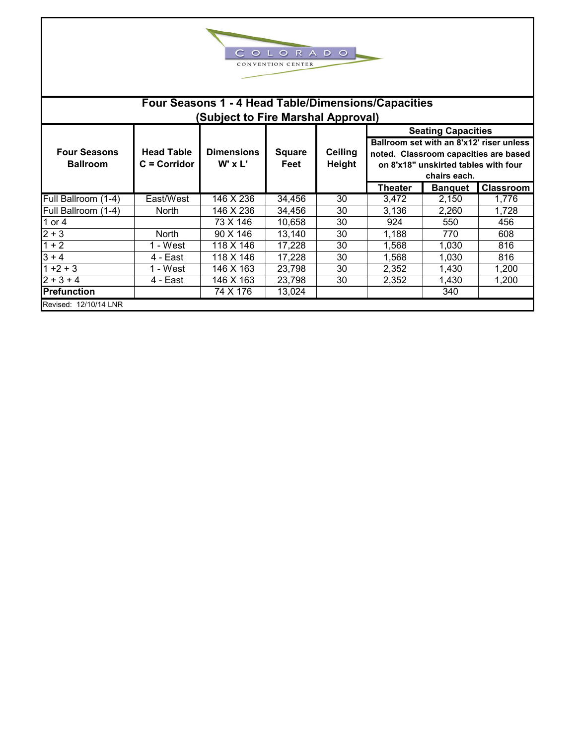|                                        |                                     |                                                                                           | OLO<br>CONVENTION CENTER | RADO              |         |                                                                                                                                           |           |
|----------------------------------------|-------------------------------------|-------------------------------------------------------------------------------------------|--------------------------|-------------------|---------|-------------------------------------------------------------------------------------------------------------------------------------------|-----------|
|                                        |                                     | Four Seasons 1 - 4 Head Table/Dimensions/Capacities<br>(Subject to Fire Marshal Approval) |                          |                   |         |                                                                                                                                           |           |
|                                        |                                     |                                                                                           |                          |                   |         | <b>Seating Capacities</b>                                                                                                                 |           |
| <b>Four Seasons</b><br><b>Ballroom</b> | <b>Head Table</b><br>$C =$ Corridor | <b>Dimensions</b><br>W' x L'                                                              | <b>Square</b><br>Feet    | Ceiling<br>Height |         | Ballroom set with an 8'x12' riser unless<br>noted. Classroom capacities are based<br>on 8'x18" unskirted tables with four<br>chairs each. |           |
|                                        |                                     |                                                                                           |                          |                   | Theater | <b>Banquet</b>                                                                                                                            | Classroom |
| Full Ballroom (1-4)                    | East/West                           | 146 X 236                                                                                 | 34,456                   | 30                | 3,472   | 2,150                                                                                                                                     | 1,776     |
| Full Ballroom (1-4)                    | <b>North</b>                        | 146 X 236                                                                                 | 34,456                   | 30                | 3,136   | 2,260                                                                                                                                     | 1,728     |
| 1 or 4                                 |                                     | 73 X 146                                                                                  | 10,658                   | 30                | 924     | 550                                                                                                                                       | 456       |
| $2 + 3$                                | <b>North</b>                        | 90 X 146                                                                                  | 13,140                   | 30                | 1,188   | 770                                                                                                                                       | 608       |
| $1 + 2$                                | 1 - West                            | 118 X 146                                                                                 | 17,228                   | 30                | 1,568   | 1,030                                                                                                                                     | 816       |
| $3 + 4$                                | 4 - East                            | 118 X 146                                                                                 | 17,228                   | 30                | 1,568   | 1,030                                                                                                                                     | 816       |
| $1 + 2 + 3$                            | 1 - West                            | 146 X 163                                                                                 | 23,798                   | 30                | 2,352   | 1,430                                                                                                                                     | 1,200     |
| $2 + 3 + 4$                            | 4 - East                            | 146 X 163                                                                                 | 23,798                   | 30                | 2,352   | 1,430                                                                                                                                     | 1,200     |
| <b>Prefunction</b>                     |                                     | 74 X 176                                                                                  | 13,024                   |                   |         | 340                                                                                                                                       |           |
| Revised: 12/10/14 LNR                  |                                     |                                                                                           |                          |                   |         |                                                                                                                                           |           |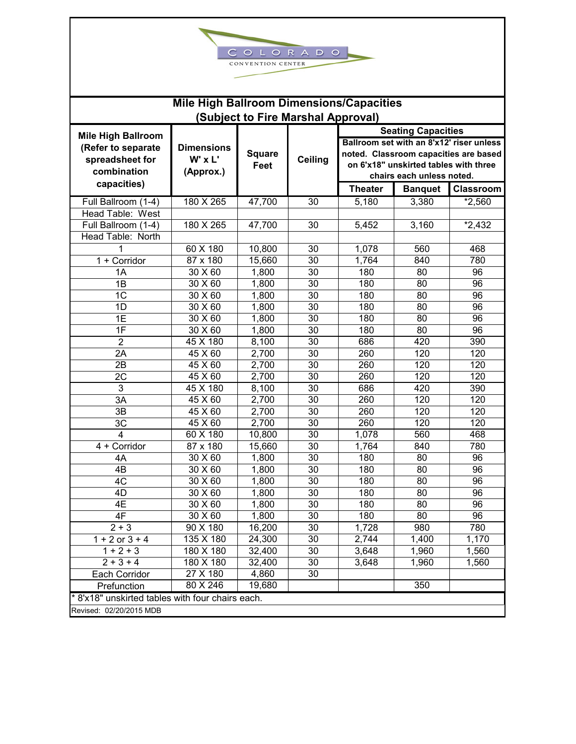| ∼<br>LORADO<br>$\circ$                         |                                                 |               |                |                |                                       |                                          |  |  |  |  |  |  |  |  |
|------------------------------------------------|-------------------------------------------------|---------------|----------------|----------------|---------------------------------------|------------------------------------------|--|--|--|--|--|--|--|--|
| CONVENTION CENTER                              |                                                 |               |                |                |                                       |                                          |  |  |  |  |  |  |  |  |
|                                                |                                                 |               |                |                |                                       |                                          |  |  |  |  |  |  |  |  |
|                                                | <b>Mile High Ballroom Dimensions/Capacities</b> |               |                |                |                                       |                                          |  |  |  |  |  |  |  |  |
| (Subject to Fire Marshal Approval)             |                                                 |               |                |                |                                       |                                          |  |  |  |  |  |  |  |  |
| <b>Mile High Ballroom</b>                      |                                                 |               |                |                | <b>Seating Capacities</b>             | Ballroom set with an 8'x12' riser unless |  |  |  |  |  |  |  |  |
| (Refer to separate                             | <b>Dimensions</b>                               | <b>Square</b> |                |                |                                       | noted. Classroom capacities are based    |  |  |  |  |  |  |  |  |
| spreadsheet for                                | $W'$ x $L'$                                     | Feet          | <b>Ceiling</b> |                | on 6'x18" unskirted tables with three |                                          |  |  |  |  |  |  |  |  |
| combination                                    | (Approx.)                                       |               |                |                | chairs each unless noted.             |                                          |  |  |  |  |  |  |  |  |
| capacities)                                    |                                                 |               |                | <b>Theater</b> | <b>Banquet</b>                        | <b>Classroom</b>                         |  |  |  |  |  |  |  |  |
| Full Ballroom (1-4)                            | 180 X 265                                       | 47,700        | 30             | 5,180          | 3,380                                 | $*2,560$                                 |  |  |  |  |  |  |  |  |
| Head Table: West                               |                                                 |               |                |                |                                       |                                          |  |  |  |  |  |  |  |  |
| Full Ballroom (1-4)                            | 180 X 265                                       | 47,700        | 30             | 5,452          | 3,160                                 | $*2,432$                                 |  |  |  |  |  |  |  |  |
| Head Table: North                              |                                                 |               |                |                |                                       |                                          |  |  |  |  |  |  |  |  |
|                                                | 60 X 180                                        | 10,800        | 30             | 1,078          | 560                                   | 468                                      |  |  |  |  |  |  |  |  |
| 1 + Corridor                                   | 87 x 180                                        | 15,660        | 30             | 1,764          | 840                                   | 780                                      |  |  |  |  |  |  |  |  |
| 1A                                             | 30 X 60                                         | 1,800         | 30             | 180            | 80                                    | 96                                       |  |  |  |  |  |  |  |  |
| 1B                                             | 30 X 60                                         | 1,800         | 30             | 180            | 80                                    | 96                                       |  |  |  |  |  |  |  |  |
| 1 <sup>C</sup>                                 | 30 X 60                                         | 1,800         | 30             | 180            | 80                                    | 96                                       |  |  |  |  |  |  |  |  |
| 1D                                             | 30 X 60                                         | 1,800         | 30             | 180            | 80                                    | 96                                       |  |  |  |  |  |  |  |  |
| 1E                                             | 30 X 60                                         | 1,800         | 30             | 180            | 80                                    | 96                                       |  |  |  |  |  |  |  |  |
| 1F                                             | 30 X 60                                         | 1,800         | 30             | 180            | 80                                    | 96                                       |  |  |  |  |  |  |  |  |
| $\overline{2}$                                 | 45 X 180                                        | 8,100         | 30             | 686            | 420                                   | 390                                      |  |  |  |  |  |  |  |  |
| 2A                                             | 45 X 60                                         | 2,700         | 30             | 260            | 120                                   | 120                                      |  |  |  |  |  |  |  |  |
| 2B                                             | 45 X 60                                         | 2,700         | 30             | 260            | 120                                   | 120                                      |  |  |  |  |  |  |  |  |
| 2C                                             | 45 X 60                                         | 2,700         | 30             | 260            | 120                                   | 120                                      |  |  |  |  |  |  |  |  |
| 3                                              | 45 X 180                                        | 8,100         | 30             | 686            | 420                                   | 390                                      |  |  |  |  |  |  |  |  |
| 3A                                             | 45 X 60                                         | 2,700         | 30             | 260            | 120                                   | 120                                      |  |  |  |  |  |  |  |  |
| 3B                                             | 45 X 60                                         | 2,700         | 30             | 260            | 120                                   | 120                                      |  |  |  |  |  |  |  |  |
| 3C                                             | 45 X 60                                         | 2,700         | 30             | 260            | 120                                   | 120                                      |  |  |  |  |  |  |  |  |
| $\overline{\mathbf{4}}$                        | 60 X 180                                        | 10,800        | 30             | 1,078          | 560                                   | 468                                      |  |  |  |  |  |  |  |  |
| 4 + Corridor                                   | 87 x 180                                        | 15,660        | 30             | 1,764          | 840                                   | 780                                      |  |  |  |  |  |  |  |  |
| 4A                                             | 30 X 60                                         | 1,800         | 30             | 180            | 80                                    | 96                                       |  |  |  |  |  |  |  |  |
| 4B                                             | 30 X 60                                         | 1,800         | 30             | 180            | 80                                    | 96                                       |  |  |  |  |  |  |  |  |
| 4C                                             | 30 X 60                                         | 1,800         | 30             | 180            | 80                                    | 96                                       |  |  |  |  |  |  |  |  |
| 4D                                             | 30 X 60                                         | 1,800         | 30             | 180            | 80                                    | 96                                       |  |  |  |  |  |  |  |  |
| 4E                                             | 30 X 60                                         | 1,800         | 30             | 180            | 80                                    | 96                                       |  |  |  |  |  |  |  |  |
| 4F                                             | 30 X 60                                         | 1,800         | 30             | 180            | 80                                    | 96                                       |  |  |  |  |  |  |  |  |
| $2 + 3$                                        | 90 X 180                                        | 16,200        | 30             | 1,728          | 980                                   | 780                                      |  |  |  |  |  |  |  |  |
| $1 + 2$ or $3 + 4$                             | 135 X 180                                       | 24,300        | 30             | 2,744          | 1,400                                 | 1,170                                    |  |  |  |  |  |  |  |  |
| $1 + 2 + 3$                                    | 180 X 180                                       | 32,400        | 30             | 3,648          | 1,960                                 | 1,560                                    |  |  |  |  |  |  |  |  |
| $2 + 3 + 4$                                    | 180 X 180                                       | 32,400        | 30             | 3,648          | 1,960                                 | 1,560                                    |  |  |  |  |  |  |  |  |
| Each Corridor                                  | 27 X 180                                        | 4,860         | 30             |                |                                       |                                          |  |  |  |  |  |  |  |  |
| Prefunction                                    | 80 X 246                                        | 19,680        |                |                | 350                                   |                                          |  |  |  |  |  |  |  |  |
| 8'x18" unskirted tables with four chairs each. |                                                 |               |                |                |                                       |                                          |  |  |  |  |  |  |  |  |
| Revised: 02/20/2015 MDB                        |                                                 |               |                |                |                                       |                                          |  |  |  |  |  |  |  |  |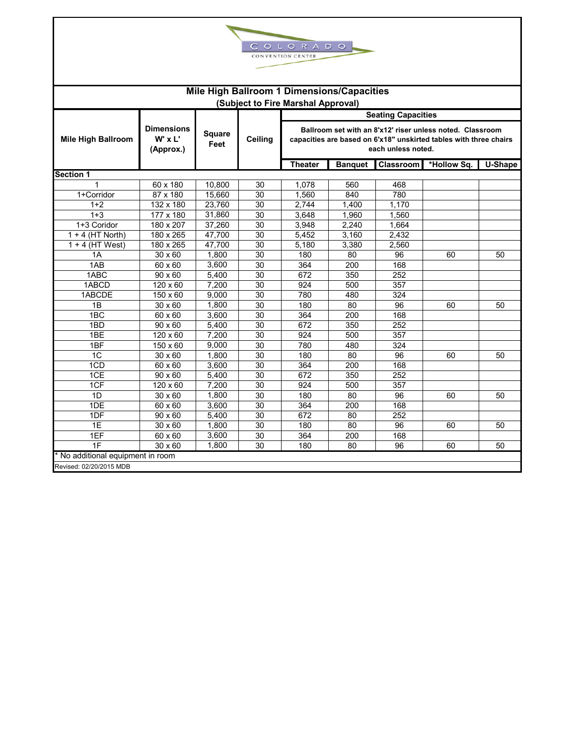

| Mile High Ballroom 1 Dimensions/Capacities<br>(Subject to Fire Marshal Approval) |                                               |                |                 |                                                                                                                                                      |                |           |             |         |  |  |  |  |
|----------------------------------------------------------------------------------|-----------------------------------------------|----------------|-----------------|------------------------------------------------------------------------------------------------------------------------------------------------------|----------------|-----------|-------------|---------|--|--|--|--|
| <b>Seating Capacities</b>                                                        |                                               |                |                 |                                                                                                                                                      |                |           |             |         |  |  |  |  |
| <b>Mile High Ballroom</b>                                                        | <b>Dimensions</b><br>$W'$ x $L'$<br>(Approx.) | Square<br>Feet | Ceiling         | Ballroom set with an 8'x12' riser unless noted. Classroom<br>capacities are based on 6'x18" unskirted tables with three chairs<br>each unless noted. |                |           |             |         |  |  |  |  |
|                                                                                  |                                               |                |                 | <b>Theater</b>                                                                                                                                       | <b>Banquet</b> | Classroom | *Hollow Sq. | U-Shape |  |  |  |  |
| <b>Section 1</b>                                                                 |                                               |                |                 |                                                                                                                                                      |                |           |             |         |  |  |  |  |
|                                                                                  | 60 x 180                                      | 10,800         | 30              | 1,078                                                                                                                                                | 560            | 468       |             |         |  |  |  |  |
| 1+Corridor                                                                       | 87 x 180                                      | 15,660         | 30              | 1,560                                                                                                                                                | 840            | 780       |             |         |  |  |  |  |
| $1+2$                                                                            | 132 x 180                                     | 23,760         | 30              | 2.744                                                                                                                                                | 1.400          | 1.170     |             |         |  |  |  |  |
| $1 + 3$                                                                          | 177 x 180                                     | 31,860         | 30              | 3,648                                                                                                                                                | 1,960          | 1,560     |             |         |  |  |  |  |
| 1+3 Coridor                                                                      | 180 x 207                                     | 37,260         | 30              | 3,948                                                                                                                                                | 2,240          | 1,664     |             |         |  |  |  |  |
| $1 + 4$ (HT North)                                                               | 180 x 265                                     | 47,700         | 30              | 5,452                                                                                                                                                | 3,160          | 2,432     |             |         |  |  |  |  |
| $1 + 4$ (HT West)                                                                | 180 x 265                                     | 47,700         | 30              | 5,180                                                                                                                                                | 3,380          | 2,560     |             |         |  |  |  |  |
| 1A                                                                               | 30 x 60                                       | 1,800          | 30              | 180                                                                                                                                                  | 80             | 96        | 60          | 50      |  |  |  |  |
| 1AB                                                                              | 60 x 60                                       | 3,600          | 30              | 364                                                                                                                                                  | 200            | 168       |             |         |  |  |  |  |
| 1ABC                                                                             | 90 x 60                                       | 5,400          | $\overline{30}$ | 672                                                                                                                                                  | 350            | 252       |             |         |  |  |  |  |
| 1ABCD                                                                            | 120 x 60                                      | 7,200          | $\overline{30}$ | 924                                                                                                                                                  | 500            | 357       |             |         |  |  |  |  |
| 1ABCDE                                                                           | 150 x 60                                      | 9,000          | 30              | 780                                                                                                                                                  | 480            | 324       |             |         |  |  |  |  |
| 1B                                                                               | 30 x 60                                       | 1,800          | 30              | 180                                                                                                                                                  | 80             | 96        | 60          | 50      |  |  |  |  |
| 1BC                                                                              | 60 x 60                                       | 3,600          | 30              | 364                                                                                                                                                  | 200            | 168       |             |         |  |  |  |  |
| 1BD                                                                              | 90 x 60                                       | 5,400          | 30              | 672                                                                                                                                                  | 350            | 252       |             |         |  |  |  |  |
| 1BE                                                                              | 120 x 60                                      | 7,200          | 30              | 924                                                                                                                                                  | 500            | 357       |             |         |  |  |  |  |
| 1BF                                                                              | 150 x 60                                      | 9,000          | $\overline{30}$ | 780                                                                                                                                                  | 480            | 324       |             |         |  |  |  |  |
| 1 <sup>C</sup>                                                                   | 30 x 60                                       | 1,800          | 30              | 180                                                                                                                                                  | 80             | 96        | 60          | 50      |  |  |  |  |
| 1CD                                                                              | 60 x 60                                       | 3,600          | $\overline{30}$ | 364                                                                                                                                                  | 200            | 168       |             |         |  |  |  |  |
| 1CE                                                                              | $90 \times 60$                                | 5,400          | 30              | 672                                                                                                                                                  | 350            | 252       |             |         |  |  |  |  |
| 1CF                                                                              | 120 x 60                                      | 7,200          | 30              | 924                                                                                                                                                  | 500            | 357       |             |         |  |  |  |  |
| 1D                                                                               | 30 x 60                                       | 1,800          | 30              | 180                                                                                                                                                  | 80             | 96        | 60          | 50      |  |  |  |  |
| 1DE                                                                              | 60 x 60                                       | 3,600          | 30              | 364                                                                                                                                                  | 200            | 168       |             |         |  |  |  |  |
| 1DF                                                                              | 90 x 60                                       | 5,400          | 30              | 672                                                                                                                                                  | 80             | 252       |             |         |  |  |  |  |
| 1E                                                                               | 30 x 60                                       | 1,800          | 30              | 180                                                                                                                                                  | 80             | 96        | 60          | 50      |  |  |  |  |
| 1EF                                                                              | 60 x 60                                       | 3,600          | 30              | 364                                                                                                                                                  | 200            | 168       |             |         |  |  |  |  |
| 1F                                                                               | 30 x 60                                       | 1,800          | 30              | 180                                                                                                                                                  | 80             | 96        | 60          | 50      |  |  |  |  |
| No additional equipment in room<br>Revised: 02/20/2015 MDB                       |                                               |                |                 |                                                                                                                                                      |                |           |             |         |  |  |  |  |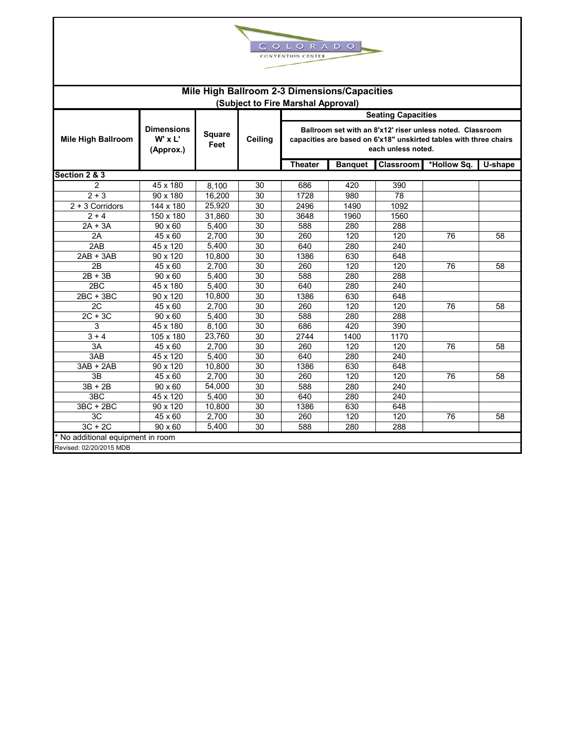

| Mile High Ballroom 2-3 Dimensions/Capacities<br>(Subject to Fire Marshal Approval) |                                           |                |         |                                                                                                                                                      |                                                       |      |    |    |  |  |  |  |  |
|------------------------------------------------------------------------------------|-------------------------------------------|----------------|---------|------------------------------------------------------------------------------------------------------------------------------------------------------|-------------------------------------------------------|------|----|----|--|--|--|--|--|
|                                                                                    | <b>Seating Capacities</b>                 |                |         |                                                                                                                                                      |                                                       |      |    |    |  |  |  |  |  |
| <b>Mile High Ballroom</b>                                                          | <b>Dimensions</b><br>W' x L'<br>(Approx.) | Square<br>Feet | Ceiling | Ballroom set with an 8'x12' riser unless noted. Classroom<br>capacities are based on 6'x18" unskirted tables with three chairs<br>each unless noted. |                                                       |      |    |    |  |  |  |  |  |
|                                                                                    |                                           |                |         | <b>Theater</b>                                                                                                                                       | Classroom<br>*Hollow Sq.<br>U-shape<br><b>Banquet</b> |      |    |    |  |  |  |  |  |
| Section 2 & 3                                                                      |                                           |                |         |                                                                                                                                                      |                                                       |      |    |    |  |  |  |  |  |
| $\mathfrak{p}$                                                                     | 45 x 180                                  | 8.100          | 30      | 686                                                                                                                                                  | 420                                                   | 390  |    |    |  |  |  |  |  |
| $2 + 3$                                                                            | 90 x 180                                  | 16.200         | 30      | 1728                                                                                                                                                 | 980                                                   | 78   |    |    |  |  |  |  |  |
| $2 + 3$ Corridors                                                                  | 144 x 180                                 | 25,920         | 30      | 2496                                                                                                                                                 | 1490                                                  | 1092 |    |    |  |  |  |  |  |
| $2 + 4$                                                                            | 150 x 180                                 | 31,860         | 30      | 3648                                                                                                                                                 | 1960                                                  | 1560 |    |    |  |  |  |  |  |
| $2A + 3A$                                                                          | 90 x 60                                   | 5,400          | 30      | 588                                                                                                                                                  | 280                                                   | 288  |    |    |  |  |  |  |  |
| 2A                                                                                 | $45 \times 60$                            | 2,700          | 30      | 260                                                                                                                                                  | 120                                                   | 120  | 76 | 58 |  |  |  |  |  |
| 2AB                                                                                | 45 x 120                                  | 5,400          | 30      | 640                                                                                                                                                  | 280                                                   | 240  |    |    |  |  |  |  |  |
| $2AB + 3AB$                                                                        | 90 x 120                                  | 10,800         | 30      | 1386                                                                                                                                                 | 630                                                   | 648  |    |    |  |  |  |  |  |
| 2B                                                                                 | 45 x 60                                   | 2,700          | 30      | 260                                                                                                                                                  | 120                                                   | 120  | 76 | 58 |  |  |  |  |  |
| $2B + 3B$                                                                          | 90 x 60                                   | 5,400          | 30      | 588                                                                                                                                                  | 280                                                   | 288  |    |    |  |  |  |  |  |
| 2BC                                                                                | 45 x 180                                  | 5,400          | 30      | 640                                                                                                                                                  | 280                                                   | 240  |    |    |  |  |  |  |  |
| $2BC + 3BC$                                                                        | 90 x 120                                  | 10,800         | 30      | 1386                                                                                                                                                 | 630                                                   | 648  |    |    |  |  |  |  |  |
| 2C                                                                                 | 45 x 60                                   | 2,700          | 30      | 260                                                                                                                                                  | 120                                                   | 120  | 76 | 58 |  |  |  |  |  |
| $2C + 3C$                                                                          | 90 x 60                                   | 5,400          | 30      | 588                                                                                                                                                  | 280                                                   | 288  |    |    |  |  |  |  |  |
| 3                                                                                  | 45 x 180                                  | 8,100          | 30      | 686                                                                                                                                                  | 420                                                   | 390  |    |    |  |  |  |  |  |
| $3 + 4$                                                                            | 105 x 180                                 | 23,760         | 30      | 2744                                                                                                                                                 | 1400                                                  | 1170 |    |    |  |  |  |  |  |
| 3A                                                                                 | 45 x 60                                   | 2,700          | 30      | 260                                                                                                                                                  | 120                                                   | 120  | 76 | 58 |  |  |  |  |  |
| 3AB                                                                                | 45 x 120                                  | 5,400          | 30      | 640                                                                                                                                                  | 280                                                   | 240  |    |    |  |  |  |  |  |
| $3AB + 2AB$                                                                        | 90 x 120                                  | 10,800         | 30      | 1386                                                                                                                                                 | 630                                                   | 648  |    |    |  |  |  |  |  |
| 3B                                                                                 | 45 x 60                                   | 2,700          | 30      | 260                                                                                                                                                  | 120                                                   | 120  | 76 | 58 |  |  |  |  |  |
| $3B + 2B$                                                                          | 90 x 60                                   | 54,000         | 30      | 588                                                                                                                                                  | 280                                                   | 240  |    |    |  |  |  |  |  |
| 3 <sub>BC</sub>                                                                    | 45 x 120                                  | 5,400          | 30      | 640                                                                                                                                                  | 280                                                   | 240  |    |    |  |  |  |  |  |
| $3BC + 2BC$                                                                        | 90 x 120                                  | 10,800         | 30      | 1386                                                                                                                                                 | 630                                                   | 648  |    |    |  |  |  |  |  |
| 3C                                                                                 | 45 x 60                                   | 2,700          | 30      | 260                                                                                                                                                  | 120                                                   | 120  | 76 | 58 |  |  |  |  |  |
| $3C + 2C$                                                                          | 90 x 60                                   | 5,400          | 30      | 588                                                                                                                                                  | 280                                                   | 288  |    |    |  |  |  |  |  |
| * No additional equipment in room                                                  |                                           |                |         |                                                                                                                                                      |                                                       |      |    |    |  |  |  |  |  |
| Revised: 02/20/2015 MDB                                                            |                                           |                |         |                                                                                                                                                      |                                                       |      |    |    |  |  |  |  |  |